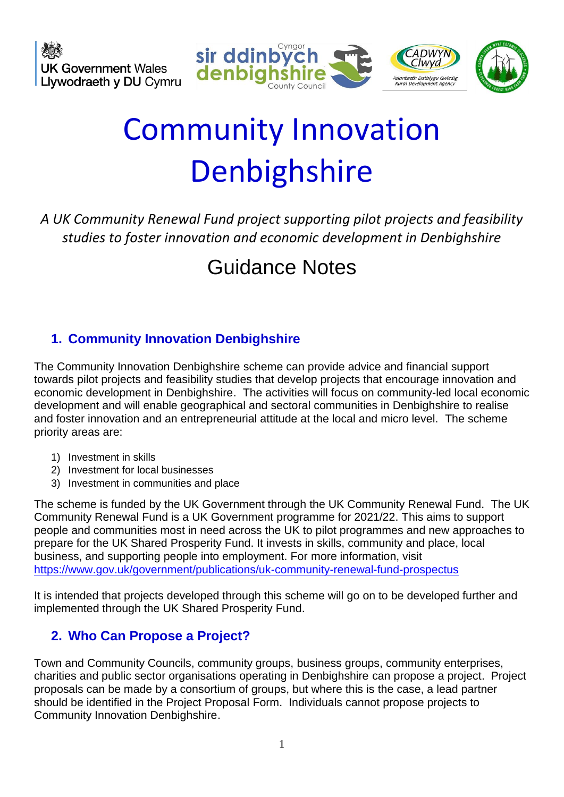

# Community Innovation Denbighshire

*A UK Community Renewal Fund project supporting pilot projects and feasibility studies to foster innovation and economic development in Denbighshire*

# Guidance Notes

# **1. Community Innovation Denbighshire**

The Community Innovation Denbighshire scheme can provide advice and financial support towards pilot projects and feasibility studies that develop projects that encourage innovation and economic development in Denbighshire. The activities will focus on community-led local economic development and will enable geographical and sectoral communities in Denbighshire to realise and foster innovation and an entrepreneurial attitude at the local and micro level. The scheme priority areas are:

- 1) Investment in skills
- 2) Investment for local businesses
- 3) Investment in communities and place

The scheme is funded by the UK Government through the UK Community Renewal Fund. The UK Community Renewal Fund is a UK Government programme for 2021/22. This aims to support people and communities most in need across the UK to pilot programmes and new approaches to prepare for the UK Shared Prosperity Fund. It invests in skills, community and place, local business, and supporting people into employment. For more information, visit <https://www.gov.uk/government/publications/uk-community-renewal-fund-prospectus>

It is intended that projects developed through this scheme will go on to be developed further and implemented through the UK Shared Prosperity Fund.

# **2. Who Can Propose a Project?**

Town and Community Councils, community groups, business groups, community enterprises, charities and public sector organisations operating in Denbighshire can propose a project. Project proposals can be made by a consortium of groups, but where this is the case, a lead partner should be identified in the Project Proposal Form. Individuals cannot propose projects to Community Innovation Denbighshire.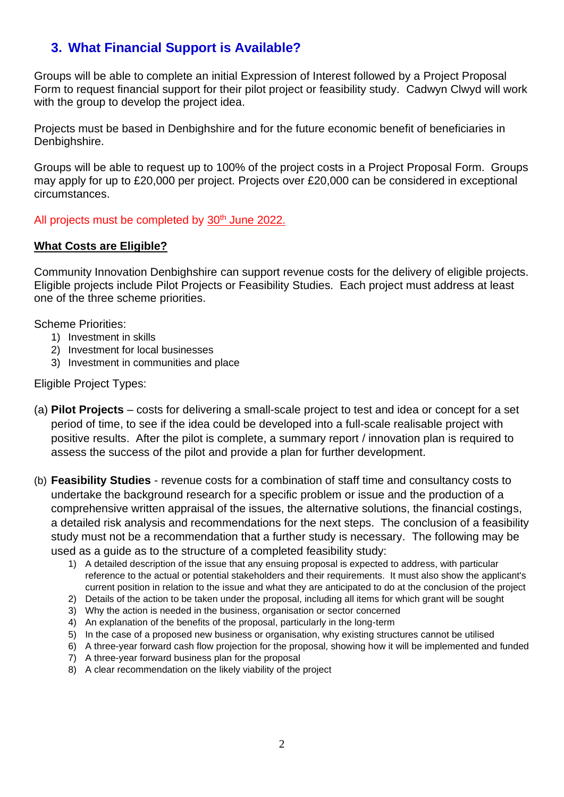# **3. What Financial Support is Available?**

Groups will be able to complete an initial Expression of Interest followed by a Project Proposal Form to request financial support for their pilot project or feasibility study. Cadwyn Clwyd will work with the group to develop the project idea.

Projects must be based in Denbighshire and for the future economic benefit of beneficiaries in Denbighshire.

Groups will be able to request up to 100% of the project costs in a Project Proposal Form. Groups may apply for up to £20,000 per project. Projects over £20,000 can be considered in exceptional circumstances.

All projects must be completed by 30<sup>th</sup> June 2022.

#### **What Costs are Eligible?**

Community Innovation Denbighshire can support revenue costs for the delivery of eligible projects. Eligible projects include Pilot Projects or Feasibility Studies. Each project must address at least one of the three scheme priorities.

Scheme Priorities:

- 1) Investment in skills
- 2) Investment for local businesses
- 3) Investment in communities and place

Eligible Project Types:

- (a) **Pilot Projects** costs for delivering a small-scale project to test and idea or concept for a set period of time, to see if the idea could be developed into a full-scale realisable project with positive results. After the pilot is complete, a summary report / innovation plan is required to assess the success of the pilot and provide a plan for further development.
- (b) **Feasibility Studies** revenue costs for a combination of staff time and consultancy costs to undertake the background research for a specific problem or issue and the production of a comprehensive written appraisal of the issues, the alternative solutions, the financial costings, a detailed risk analysis and recommendations for the next steps. The conclusion of a feasibility study must not be a recommendation that a further study is necessary. The following may be used as a guide as to the structure of a completed feasibility study:
	- 1) A detailed description of the issue that any ensuing proposal is expected to address, with particular reference to the actual or potential stakeholders and their requirements. It must also show the applicant's current position in relation to the issue and what they are anticipated to do at the conclusion of the project
	- 2) Details of the action to be taken under the proposal, including all items for which grant will be sought
	- 3) Why the action is needed in the business, organisation or sector concerned
	- 4) An explanation of the benefits of the proposal, particularly in the long-term
	- 5) In the case of a proposed new business or organisation, why existing structures cannot be utilised
	- 6) A three-year forward cash flow projection for the proposal, showing how it will be implemented and funded
	- 7) A three-year forward business plan for the proposal
	- 8) A clear recommendation on the likely viability of the project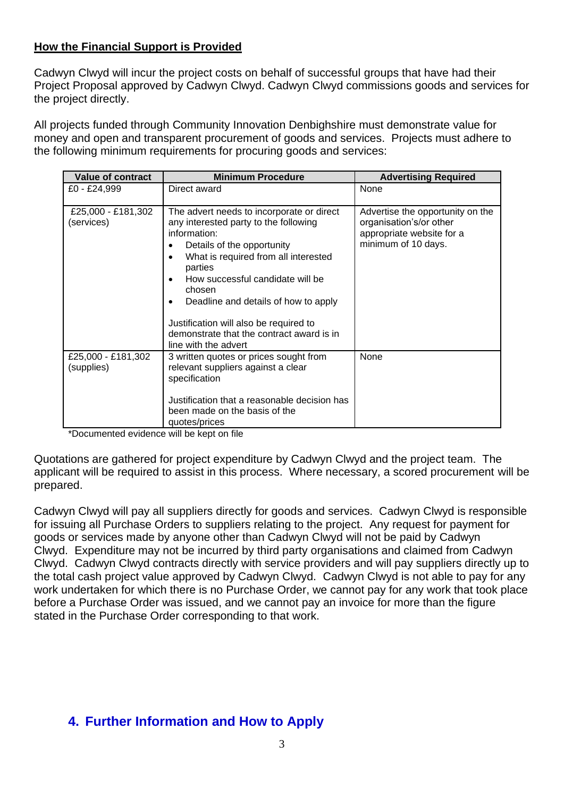#### **How the Financial Support is Provided**

Cadwyn Clwyd will incur the project costs on behalf of successful groups that have had their Project Proposal approved by Cadwyn Clwyd. Cadwyn Clwyd commissions goods and services for the project directly.

All projects funded through Community Innovation Denbighshire must demonstrate value for money and open and transparent procurement of goods and services. Projects must adhere to the following minimum requirements for procuring goods and services:

| Value of contract                | <b>Minimum Procedure</b>                                                                                                                                                                                                                                                                                                                                                                 | <b>Advertising Required</b>                                                                                     |
|----------------------------------|------------------------------------------------------------------------------------------------------------------------------------------------------------------------------------------------------------------------------------------------------------------------------------------------------------------------------------------------------------------------------------------|-----------------------------------------------------------------------------------------------------------------|
| £0 - £24,999                     | Direct award                                                                                                                                                                                                                                                                                                                                                                             | None                                                                                                            |
| £25,000 - £181,302<br>(services) | The advert needs to incorporate or direct<br>any interested party to the following<br>information:<br>Details of the opportunity<br>What is required from all interested<br>parties<br>How successful candidate will be<br>chosen<br>Deadline and details of how to apply<br>Justification will also be required to<br>demonstrate that the contract award is in<br>line with the advert | Advertise the opportunity on the<br>organisation's/or other<br>appropriate website for a<br>minimum of 10 days. |
| £25,000 - £181,302<br>(supplies) | 3 written quotes or prices sought from<br>relevant suppliers against a clear<br>specification<br>Justification that a reasonable decision has<br>been made on the basis of the<br>quotes/prices                                                                                                                                                                                          | None                                                                                                            |

\*Documented evidence will be kept on file

Quotations are gathered for project expenditure by Cadwyn Clwyd and the project team. The applicant will be required to assist in this process. Where necessary, a scored procurement will be prepared.

Cadwyn Clwyd will pay all suppliers directly for goods and services. Cadwyn Clwyd is responsible for issuing all Purchase Orders to suppliers relating to the project. Any request for payment for goods or services made by anyone other than Cadwyn Clwyd will not be paid by Cadwyn Clwyd. Expenditure may not be incurred by third party organisations and claimed from Cadwyn Clwyd. Cadwyn Clwyd contracts directly with service providers and will pay suppliers directly up to the total cash project value approved by Cadwyn Clwyd. Cadwyn Clwyd is not able to pay for any work undertaken for which there is no Purchase Order, we cannot pay for any work that took place before a Purchase Order was issued, and we cannot pay an invoice for more than the figure stated in the Purchase Order corresponding to that work.

# **4. Further Information and How to Apply**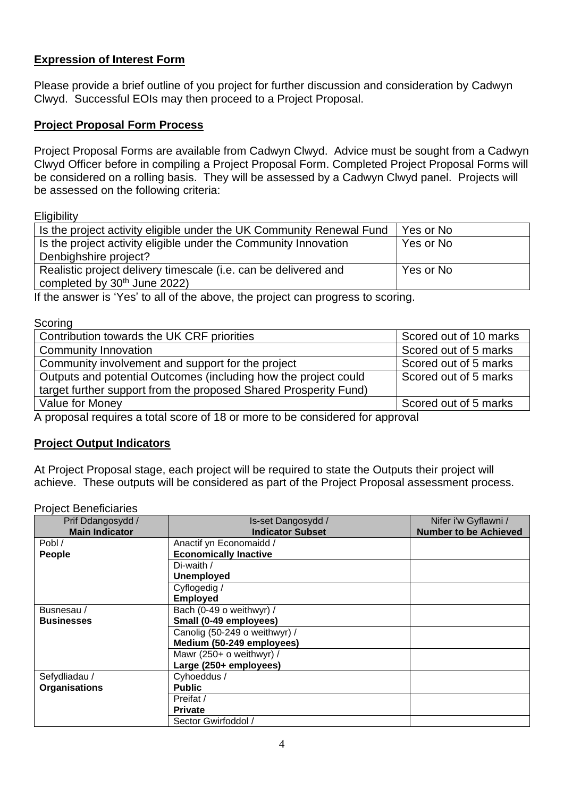#### **Expression of Interest Form**

Please provide a brief outline of you project for further discussion and consideration by Cadwyn Clwyd. Successful EOIs may then proceed to a Project Proposal.

#### **Project Proposal Form Process**

Project Proposal Forms are available from Cadwyn Clwyd. Advice must be sought from a Cadwyn Clwyd Officer before in compiling a Project Proposal Form. Completed Project Proposal Forms will be considered on a rolling basis. They will be assessed by a Cadwyn Clwyd panel. Projects will be assessed on the following criteria:

**Eligibility** 

| Is the project activity eligible under the UK Community Renewal Fund | Yes or No |
|----------------------------------------------------------------------|-----------|
| Is the project activity eligible under the Community Innovation      | Yes or No |
| Denbighshire project?                                                |           |
| Realistic project delivery timescale (i.e. can be delivered and      | Yes or No |
| completed by 30 <sup>th</sup> June 2022)                             |           |

If the answer is 'Yes' to all of the above, the project can progress to scoring.

**Scoring** 

| Contribution towards the UK CRF priorities                       | Scored out of 10 marks |
|------------------------------------------------------------------|------------------------|
| <b>Community Innovation</b>                                      | Scored out of 5 marks  |
| Community involvement and support for the project                | Scored out of 5 marks  |
| Outputs and potential Outcomes (including how the project could  | Scored out of 5 marks  |
| target further support from the proposed Shared Prosperity Fund) |                        |
| Value for Money                                                  | Scored out of 5 marks  |
|                                                                  |                        |

A proposal requires a total score of 18 or more to be considered for approval

#### **Project Output Indicators**

At Project Proposal stage, each project will be required to state the Outputs their project will achieve. These outputs will be considered as part of the Project Proposal assessment process.

Project Beneficiaries

| Prif Ddangosydd /     | Is-set Dangosydd /            | Nifer i'w Gyflawni /         |
|-----------------------|-------------------------------|------------------------------|
| <b>Main Indicator</b> | <b>Indicator Subset</b>       | <b>Number to be Achieved</b> |
| Pobl /                | Anactif yn Economaidd /       |                              |
| People                | <b>Economically Inactive</b>  |                              |
|                       | Di-waith /                    |                              |
|                       | <b>Unemployed</b>             |                              |
|                       | Cyflogedig /                  |                              |
|                       | <b>Employed</b>               |                              |
| Busnesau/             | Bach (0-49 o weithwyr) /      |                              |
| <b>Businesses</b>     | Small (0-49 employees)        |                              |
|                       | Canolig (50-249 o weithwyr) / |                              |
|                       | Medium (50-249 employees)     |                              |
|                       | Mawr (250+ o weithwyr) /      |                              |
|                       | Large (250+ employees)        |                              |
| Sefydliadau /         | Cyhoeddus /                   |                              |
| <b>Organisations</b>  | <b>Public</b>                 |                              |
|                       | Preifat /                     |                              |
|                       | <b>Private</b>                |                              |
|                       | Sector Gwirfoddol /           |                              |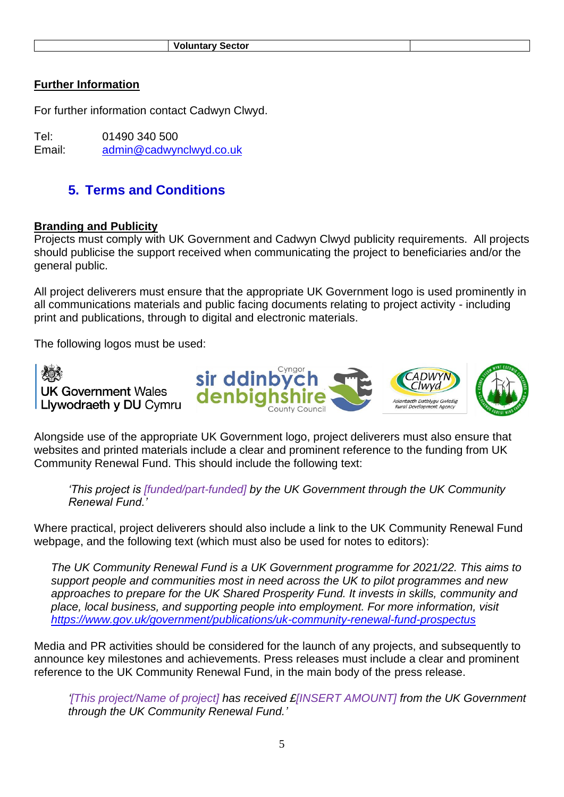#### **Further Information**

For further information contact Cadwyn Clwyd.

Tel: 01490 340 500 Email: [admin@cadwynclwyd.co.uk](mailto:admin@cadwynclwyd.co.uk)

### **5. Terms and Conditions**

#### **Branding and Publicity**

Projects must comply with UK Government and Cadwyn Clwyd publicity requirements. All projects should publicise the support received when communicating the project to beneficiaries and/or the general public.

All project deliverers must ensure that the appropriate UK Government logo is used prominently in all communications materials and public facing documents relating to project activity - including print and publications, through to digital and electronic materials.

The following logos must be used:



Alongside use of the appropriate UK Government logo, project deliverers must also ensure that websites and printed materials include a clear and prominent reference to the funding from UK Community Renewal Fund. This should include the following text:

*'This project is [funded/part-funded] by the UK Government through the UK Community Renewal Fund.'* 

Where practical, project deliverers should also include a link to the UK Community Renewal Fund webpage, and the following text (which must also be used for notes to editors):

*The UK Community Renewal Fund is a UK Government programme for 2021/22. This aims to support people and communities most in need across the UK to pilot programmes and new approaches to prepare for the UK Shared Prosperity Fund. It invests in skills, community and place, local business, and supporting people into employment. For more information, visit <https://www.gov.uk/government/publications/uk-community-renewal-fund-prospectus>*

Media and PR activities should be considered for the launch of any projects, and subsequently to announce key milestones and achievements. Press releases must include a clear and prominent reference to the UK Community Renewal Fund, in the main body of the press release.

*'[This project/Name of project] has received £[INSERT AMOUNT] from the UK Government through the UK Community Renewal Fund.'*